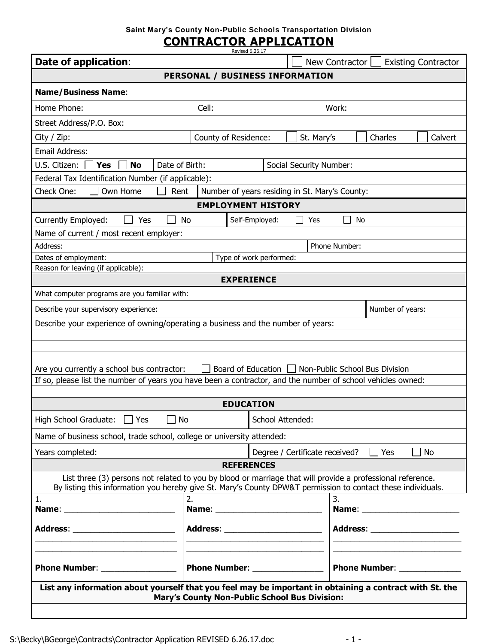## **Saint Mary's County Non-Public Schools Transportation Division**

## **CONTRACTOR APPLICATION**

| Date of application:                                                                                         |                                   |           | New Contractor | <b>Existing Contractor</b>      |  |
|--------------------------------------------------------------------------------------------------------------|-----------------------------------|-----------|----------------|---------------------------------|--|
| PERSONAL / BUSINESS INFORMATION                                                                              |                                   |           |                |                                 |  |
| <b>Name/Business Name:</b>                                                                                   |                                   |           |                |                                 |  |
| Home Phone:                                                                                                  | Cell:                             |           | Work:          |                                 |  |
| Street Address/P.O. Box:                                                                                     |                                   |           |                |                                 |  |
| City / Zip:                                                                                                  | County of Residence:              |           | St. Mary's     | Charles<br>Calvert              |  |
| Email Address:                                                                                               |                                   |           |                |                                 |  |
| U.S. Citizen:<br>Date of Birth:<br><b>Yes</b><br><b>No</b><br>Social Security Number:                        |                                   |           |                |                                 |  |
| Federal Tax Identification Number (if applicable):                                                           |                                   |           |                |                                 |  |
| Own Home<br>Rent<br>Number of years residing in St. Mary's County:<br>Check One:                             |                                   |           |                |                                 |  |
| <b>EMPLOYMENT HISTORY</b>                                                                                    |                                   |           |                |                                 |  |
| Currently Employed:<br>Yes                                                                                   | Self-Employed:<br>No              |           | No<br>Yes      |                                 |  |
| Name of current / most recent employer:                                                                      |                                   |           |                |                                 |  |
| Address:                                                                                                     | Phone Number:                     |           |                |                                 |  |
| Dates of employment:<br>Type of work performed:                                                              |                                   |           |                |                                 |  |
| Reason for leaving (if applicable):                                                                          |                                   |           |                |                                 |  |
| <b>EXPERIENCE</b>                                                                                            |                                   |           |                |                                 |  |
| What computer programs are you familiar with:                                                                |                                   |           |                |                                 |  |
| Number of years:<br>Describe your supervisory experience:                                                    |                                   |           |                |                                 |  |
| Describe your experience of owning/operating a business and the number of years:                             |                                   |           |                |                                 |  |
|                                                                                                              |                                   |           |                |                                 |  |
|                                                                                                              |                                   |           |                |                                 |  |
| Board of Education<br>Non-Public School Bus Division<br>Are you currently a school bus contractor:           |                                   |           |                |                                 |  |
| If so, please list the number of years you have been a contractor, and the number of school vehicles owned:  |                                   |           |                |                                 |  |
|                                                                                                              |                                   |           |                |                                 |  |
| <b>EDUCATION</b>                                                                                             |                                   |           |                |                                 |  |
| High School Graduate: 7 Yes<br>$\Box$ No<br>School Attended:                                                 |                                   |           |                |                                 |  |
| Name of business school, trade school, college or university attended:                                       |                                   |           |                |                                 |  |
| Years completed:<br>Yes<br>Degree / Certificate received?                                                    |                                   | <b>No</b> |                |                                 |  |
| <b>REFERENCES</b>                                                                                            |                                   |           |                |                                 |  |
| List three (3) persons not related to you by blood or marriage that will provide a professional reference.   |                                   |           |                |                                 |  |
| By listing this information you hereby give St. Mary's County DPW&T permission to contact these individuals. |                                   |           |                |                                 |  |
| 1.                                                                                                           | 2.                                |           | 3.             |                                 |  |
|                                                                                                              |                                   |           |                |                                 |  |
| Address: _                                                                                                   | Address: ________________________ |           |                | Address: ______________________ |  |
|                                                                                                              |                                   |           |                |                                 |  |
|                                                                                                              |                                   |           |                |                                 |  |
| Phone Number: ________________                                                                               |                                   |           |                |                                 |  |
| List any information about yourself that you feel may be important in obtaining a contract with St. the      |                                   |           |                |                                 |  |
| <b>Mary's County Non-Public School Bus Division:</b>                                                         |                                   |           |                |                                 |  |
|                                                                                                              |                                   |           |                |                                 |  |